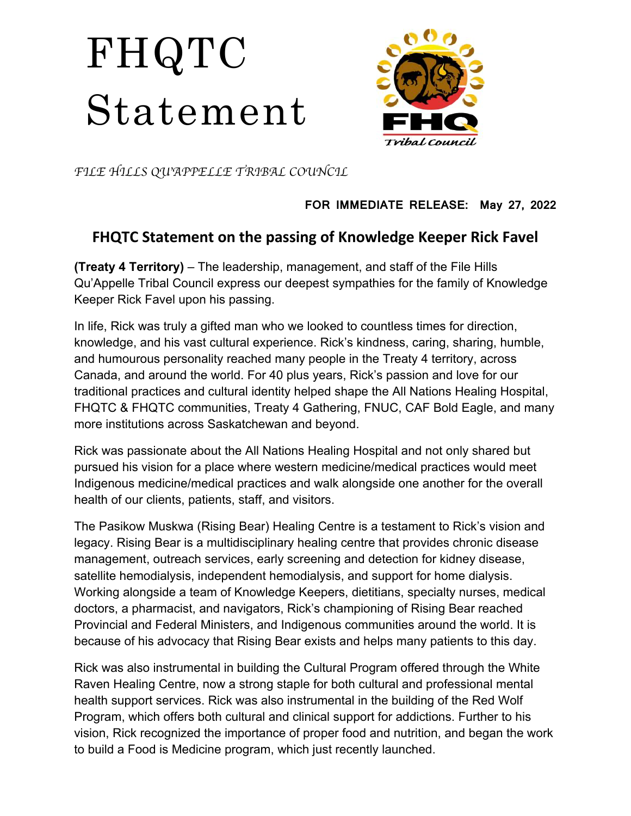## FHQTC Statement



*FILE HILLS QU*'*APPELLE TRIBAL COUNCIL*

## **FOR IMMEDIATE RELEASE: May 27, 2022**

## **FHQTC Statement on the passing of Knowledge Keeper Rick Favel**

**(Treaty 4 Territory)** – The leadership, management, and staff of the File Hills Qu'Appelle Tribal Council express our deepest sympathies for the family of Knowledge Keeper Rick Favel upon his passing.

In life, Rick was truly a gifted man who we looked to countless times for direction, knowledge, and his vast cultural experience. Rick's kindness, caring, sharing, humble, and humourous personality reached many people in the Treaty 4 territory, across Canada, and around the world. For 40 plus years, Rick's passion and love for our traditional practices and cultural identity helped shape the All Nations Healing Hospital, FHQTC & FHQTC communities, Treaty 4 Gathering, FNUC, CAF Bold Eagle, and many more institutions across Saskatchewan and beyond.

Rick was passionate about the All Nations Healing Hospital and not only shared but pursued his vision for a place where western medicine/medical practices would meet Indigenous medicine/medical practices and walk alongside one another for the overall health of our clients, patients, staff, and visitors.

The Pasikow Muskwa (Rising Bear) Healing Centre is a testament to Rick's vision and legacy. Rising Bear is a multidisciplinary healing centre that provides chronic disease management, outreach services, early screening and detection for kidney disease, satellite hemodialysis, independent hemodialysis, and support for home dialysis. Working alongside a team of Knowledge Keepers, dietitians, specialty nurses, medical doctors, a pharmacist, and navigators, Rick's championing of Rising Bear reached Provincial and Federal Ministers, and Indigenous communities around the world. It is because of his advocacy that Rising Bear exists and helps many patients to this day.

Rick was also instrumental in building the Cultural Program offered through the White Raven Healing Centre, now a strong staple for both cultural and professional mental health support services. Rick was also instrumental in the building of the Red Wolf Program, which offers both cultural and clinical support for addictions. Further to his vision, Rick recognized the importance of proper food and nutrition, and began the work to build a Food is Medicine program, which just recently launched.